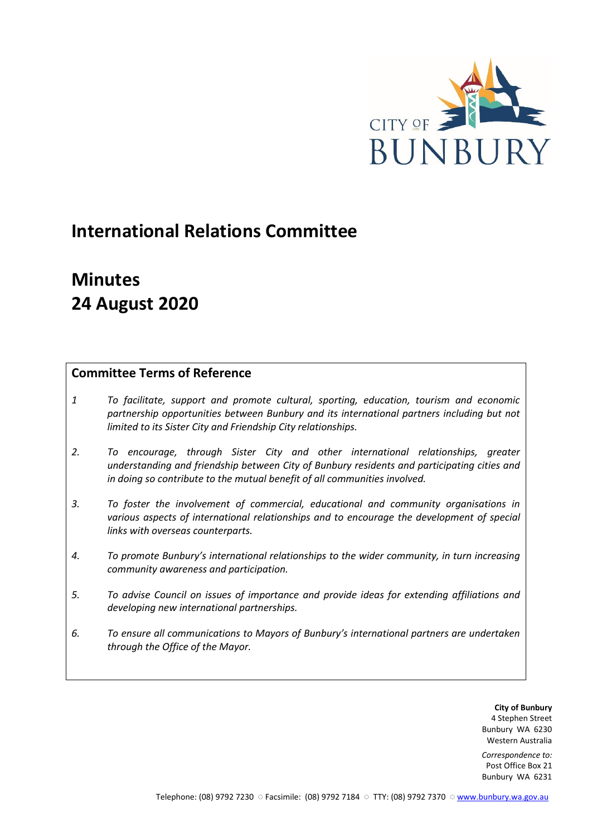

# **International Relations Committee**

# **Minutes 24 August 2020**

## **Committee Terms of Reference**

- *1 To facilitate, support and promote cultural, sporting, education, tourism and economic partnership opportunities between Bunbury and its international partners including but not limited to its Sister City and Friendship City relationships.*
- *2. To encourage, through Sister City and other international relationships, greater understanding and friendship between City of Bunbury residents and participating cities and in doing so contribute to the mutual benefit of all communities involved.*
- *3. To foster the involvement of commercial, educational and community organisations in various aspects of international relationships and to encourage the development of special links with overseas counterparts.*
- *4. To promote Bunbury's international relationships to the wider community, in turn increasing community awareness and participation.*
- *5. To advise Council on issues of importance and provide ideas for extending affiliations and developing new international partnerships.*
- *6. To ensure all communications to Mayors of Bunbury's international partners are undertaken through the Office of the Mayor.*

**City of Bunbury** 4 Stephen Street Bunbury WA 6230 Western Australia

*Correspondence to:* Post Office Box 21 Bunbury WA 6231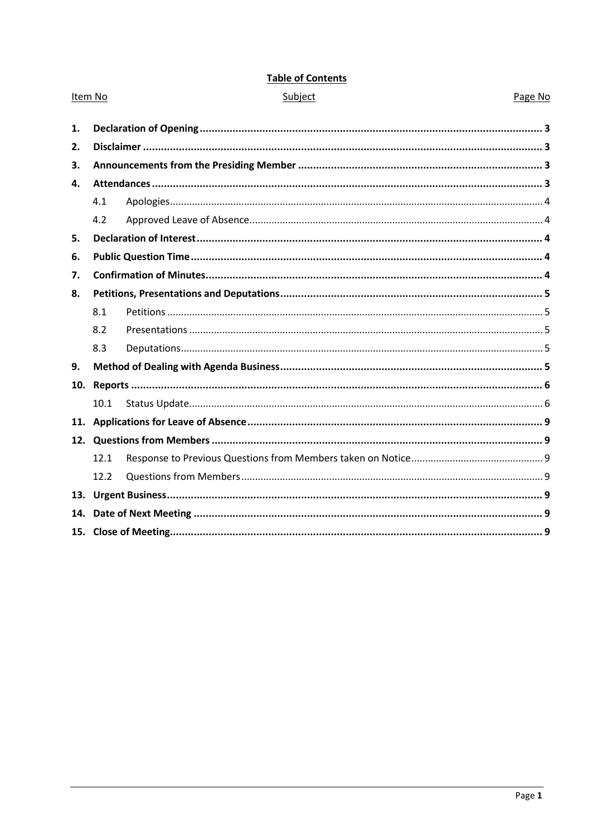| Item No |      | Subject | Page No |
|---------|------|---------|---------|
| 1.      |      |         |         |
| 2.      |      |         |         |
| 3.      |      |         |         |
| 4.      |      |         |         |
|         | 4.1  |         |         |
|         | 4.2  |         |         |
|         |      |         |         |
| 5.      |      |         |         |
| 6.      |      |         |         |
| 7.      |      |         |         |
| 8.      |      |         |         |
|         | 8.1  |         |         |
|         | 8.2  |         |         |
|         | 8.3  |         |         |
| 9.      |      |         |         |
| 10.     |      |         |         |
|         | 10.1 |         |         |
|         |      |         |         |
|         |      |         |         |
|         | 12.1 |         |         |
|         | 12.2 |         |         |
| 13.     |      |         |         |
| 14.     |      |         |         |
|         |      |         |         |

## **Table of Contents**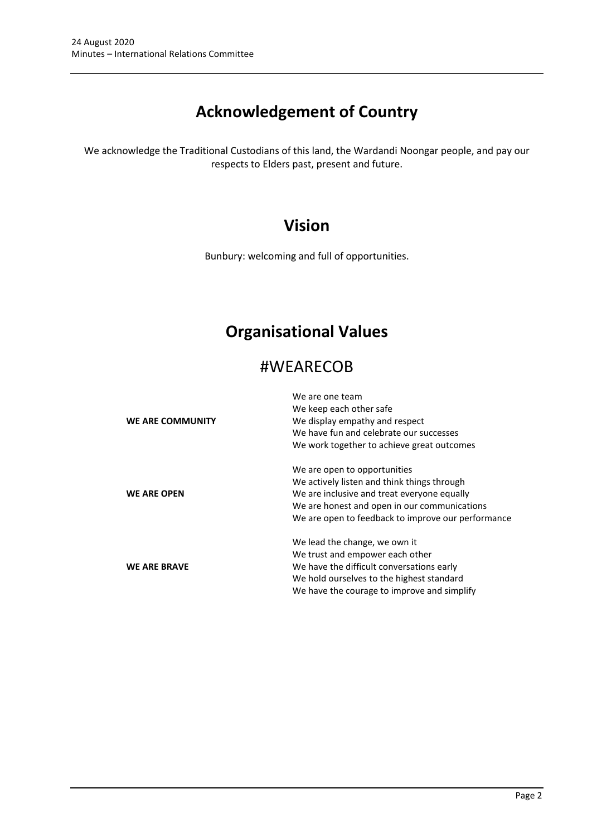# **Acknowledgement of Country**

We acknowledge the Traditional Custodians of this land, the Wardandi Noongar people, and pay our respects to Elders past, present and future.

## **Vision**

Bunbury: welcoming and full of opportunities.

# **Organisational Values**

## #WEARECOB

|                         | We are one team                                    |  |  |  |
|-------------------------|----------------------------------------------------|--|--|--|
|                         | We keep each other safe                            |  |  |  |
| <b>WE ARE COMMUNITY</b> | We display empathy and respect                     |  |  |  |
|                         | We have fun and celebrate our successes            |  |  |  |
|                         | We work together to achieve great outcomes         |  |  |  |
|                         | We are open to opportunities                       |  |  |  |
|                         | We actively listen and think things through        |  |  |  |
| <b>WE ARE OPEN</b>      | We are inclusive and treat everyone equally        |  |  |  |
|                         | We are honest and open in our communications       |  |  |  |
|                         | We are open to feedback to improve our performance |  |  |  |
|                         | We lead the change, we own it                      |  |  |  |
|                         | We trust and empower each other                    |  |  |  |
| <b>WE ARE BRAVE</b>     | We have the difficult conversations early          |  |  |  |
|                         | We hold ourselves to the highest standard          |  |  |  |
|                         | We have the courage to improve and simplify        |  |  |  |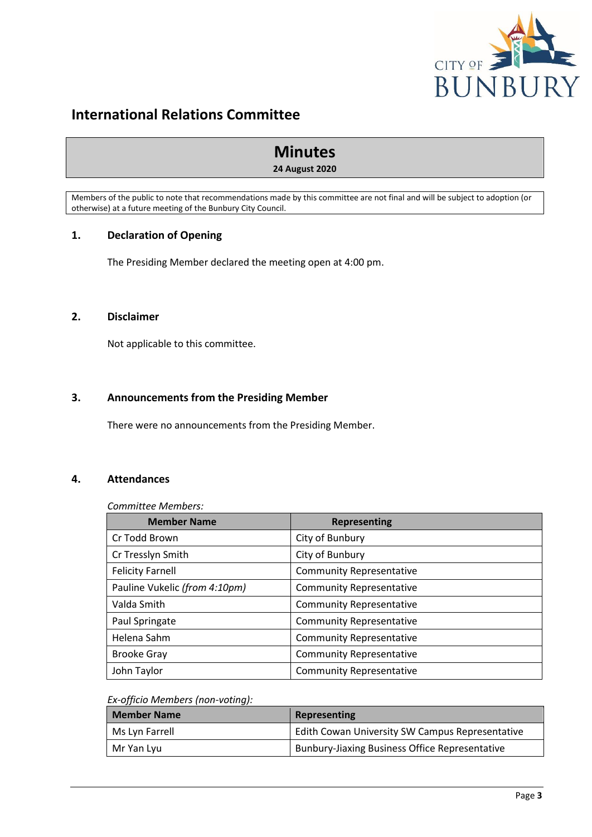

## **International Relations Committee**

## **Minutes**

## **24 August 2020**

Members of the public to note that recommendations made by this committee are not final and will be subject to adoption (or otherwise) at a future meeting of the Bunbury City Council.

## <span id="page-3-0"></span>**1. Declaration of Opening**

The Presiding Member declared the meeting open at 4:00 pm.

## <span id="page-3-1"></span>**2. Disclaimer**

Not applicable to this committee.

## <span id="page-3-2"></span>**3. Announcements from the Presiding Member**

There were no announcements from the Presiding Member.

## <span id="page-3-3"></span>**4. Attendances**

*Committee Members:*

| <b>Member Name</b>            | <b>Representing</b>             |
|-------------------------------|---------------------------------|
| Cr Todd Brown                 | City of Bunbury                 |
| Cr Tresslyn Smith             | City of Bunbury                 |
| <b>Felicity Farnell</b>       | <b>Community Representative</b> |
| Pauline Vukelic (from 4:10pm) | <b>Community Representative</b> |
| Valda Smith                   | <b>Community Representative</b> |
| Paul Springate                | <b>Community Representative</b> |
| Helena Sahm                   | <b>Community Representative</b> |
| <b>Brooke Gray</b>            | <b>Community Representative</b> |
| John Taylor                   | <b>Community Representative</b> |

#### *Ex-officio Members (non-voting):*

| <b>Member Name</b> | Representing                                          |  |
|--------------------|-------------------------------------------------------|--|
| Ms Lyn Farrell     | Edith Cowan University SW Campus Representative       |  |
| Mr Yan Lyu         | <b>Bunbury-Jiaxing Business Office Representative</b> |  |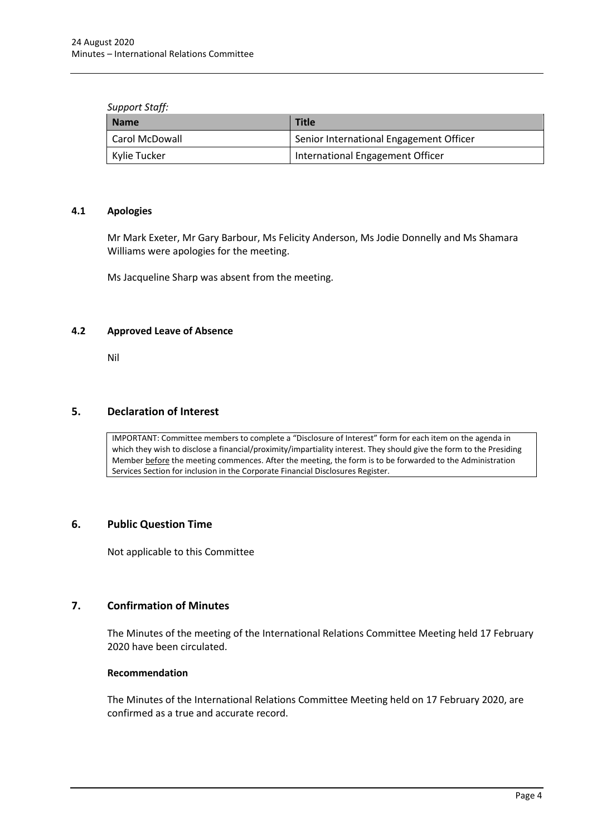#### *Support Staff:*

| <b>Name</b>      | <b>Title</b>                            |
|------------------|-----------------------------------------|
| l Carol McDowall | Senior International Engagement Officer |
| Kylie Tucker     | International Engagement Officer        |

#### <span id="page-4-0"></span>**4.1 Apologies**

Mr Mark Exeter, Mr Gary Barbour, Ms Felicity Anderson, Ms Jodie Donnelly and Ms Shamara Williams were apologies for the meeting.

Ms Jacqueline Sharp was absent from the meeting.

## <span id="page-4-1"></span>**4.2 Approved Leave of Absence**

Nil

## <span id="page-4-2"></span>**5. Declaration of Interest**

IMPORTANT: Committee members to complete a "Disclosure of Interest" form for each item on the agenda in which they wish to disclose a financial/proximity/impartiality interest. They should give the form to the Presiding Member before the meeting commences. After the meeting, the form is to be forwarded to the Administration Services Section for inclusion in the Corporate Financial Disclosures Register.

## <span id="page-4-3"></span>**6. Public Question Time**

Not applicable to this Committee

## <span id="page-4-4"></span>**7. Confirmation of Minutes**

The Minutes of the meeting of the International Relations Committee Meeting held 17 February 2020 have been circulated.

## **Recommendation**

The Minutes of the International Relations Committee Meeting held on 17 February 2020, are confirmed as a true and accurate record.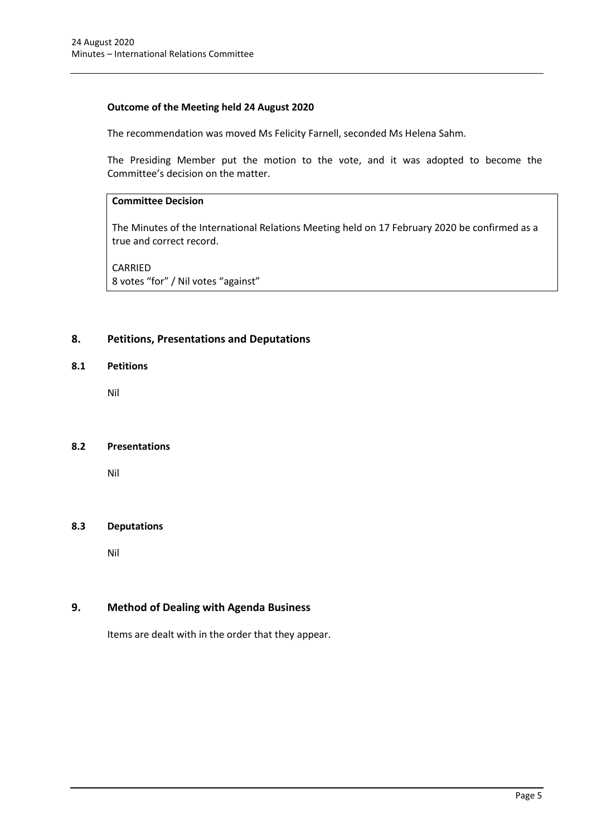## **Outcome of the Meeting held 24 August 2020**

The recommendation was moved Ms Felicity Farnell, seconded Ms Helena Sahm.

The Presiding Member put the motion to the vote, and it was adopted to become the Committee's decision on the matter.

## **Committee Decision**

The Minutes of the International Relations Meeting held on 17 February 2020 be confirmed as a true and correct record.

CARRIED 8 votes "for" / Nil votes "against"

## <span id="page-5-0"></span>**8. Petitions, Presentations and Deputations**

## <span id="page-5-1"></span>**8.1 Petitions**

Nil

## <span id="page-5-2"></span>**8.2 Presentations**

Nil

## <span id="page-5-3"></span>**8.3 Deputations**

Nil

## <span id="page-5-4"></span>**9. Method of Dealing with Agenda Business**

Items are dealt with in the order that they appear.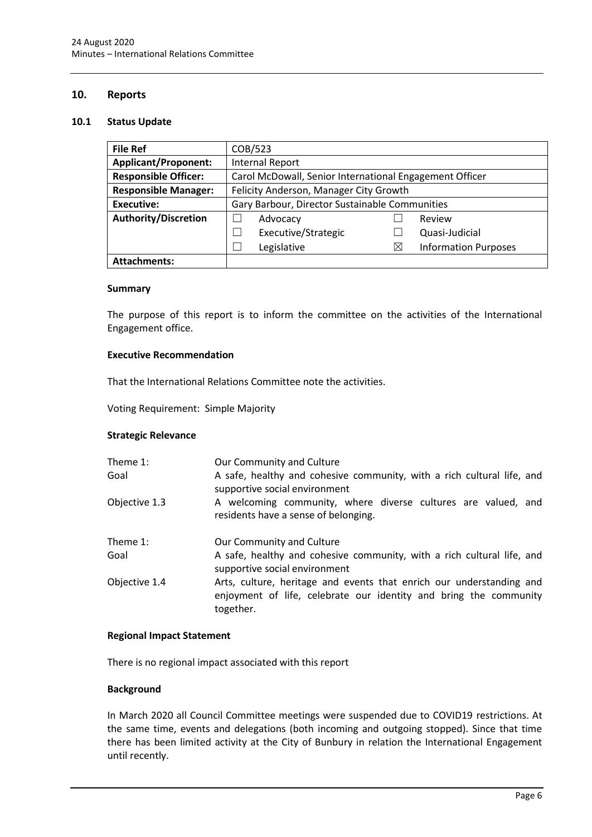## <span id="page-6-0"></span>**10. Reports**

#### <span id="page-6-1"></span>**10.1 Status Update**

| <b>File Ref</b>             | COB/523                                                 |             |                             |  |
|-----------------------------|---------------------------------------------------------|-------------|-----------------------------|--|
| <b>Applicant/Proponent:</b> | <b>Internal Report</b>                                  |             |                             |  |
| <b>Responsible Officer:</b> | Carol McDowall, Senior International Engagement Officer |             |                             |  |
| <b>Responsible Manager:</b> | Felicity Anderson, Manager City Growth                  |             |                             |  |
| Executive:                  | Gary Barbour, Director Sustainable Communities          |             |                             |  |
| <b>Authority/Discretion</b> | Advocacy                                                |             | Review                      |  |
|                             | Executive/Strategic                                     |             | Quasi-Judicial              |  |
|                             | Legislative                                             | $\boxtimes$ | <b>Information Purposes</b> |  |
| <b>Attachments:</b>         |                                                         |             |                             |  |

#### **Summary**

The purpose of this report is to inform the committee on the activities of the International Engagement office.

#### **Executive Recommendation**

That the International Relations Committee note the activities.

Voting Requirement: Simple Majority

## **Strategic Relevance**

| Theme 1:<br>Goal | Our Community and Culture<br>A safe, healthy and cohesive community, with a rich cultural life, and<br>supportive social environment                   |
|------------------|--------------------------------------------------------------------------------------------------------------------------------------------------------|
| Objective 1.3    | A welcoming community, where diverse cultures are valued, and<br>residents have a sense of belonging.                                                  |
| Theme 1:         | Our Community and Culture                                                                                                                              |
| Goal             | A safe, healthy and cohesive community, with a rich cultural life, and<br>supportive social environment                                                |
| Objective 1.4    | Arts, culture, heritage and events that enrich our understanding and<br>enjoyment of life, celebrate our identity and bring the community<br>together. |

#### **Regional Impact Statement**

There is no regional impact associated with this report

#### **Background**

In March 2020 all Council Committee meetings were suspended due to COVID19 restrictions. At the same time, events and delegations (both incoming and outgoing stopped). Since that time there has been limited activity at the City of Bunbury in relation the International Engagement until recently.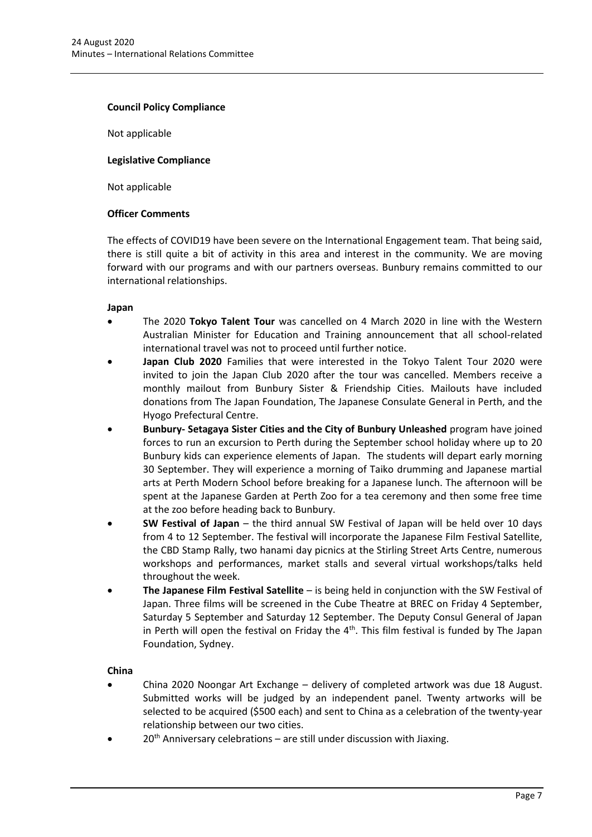#### **Council Policy Compliance**

Not applicable

#### **Legislative Compliance**

Not applicable

#### **Officer Comments**

The effects of COVID19 have been severe on the International Engagement team. That being said, there is still quite a bit of activity in this area and interest in the community. We are moving forward with our programs and with our partners overseas. Bunbury remains committed to our international relationships.

#### **Japan**

- The 2020 **Tokyo Talent Tour** was cancelled on 4 March 2020 in line with the Western Australian Minister for Education and Training announcement that all school-related international travel was not to proceed until further notice.
- **Japan Club 2020** Families that were interested in the Tokyo Talent Tour 2020 were invited to join the Japan Club 2020 after the tour was cancelled. Members receive a monthly mailout from Bunbury Sister & Friendship Cities. Mailouts have included donations from The Japan Foundation, The Japanese Consulate General in Perth, and the Hyogo Prefectural Centre.
- **Bunbury- Setagaya Sister Cities and the City of Bunbury Unleashed** program have joined forces to run an excursion to Perth during the September school holiday where up to 20 Bunbury kids can experience elements of Japan. The students will depart early morning 30 September. They will experience a morning of Taiko drumming and Japanese martial arts at Perth Modern School before breaking for a Japanese lunch. The afternoon will be spent at the Japanese Garden at Perth Zoo for a tea ceremony and then some free time at the zoo before heading back to Bunbury.
- **SW Festival of Japan** the third annual SW Festival of Japan will be held over 10 days from 4 to 12 September. The festival will incorporate the Japanese Film Festival Satellite, the CBD Stamp Rally, two hanami day picnics at the Stirling Street Arts Centre, numerous workshops and performances, market stalls and several virtual workshops/talks held throughout the week.
- **The Japanese Film Festival Satellite**  is being held in conjunction with the SW Festival of Japan. Three films will be screened in the Cube Theatre at BREC on Friday 4 September, Saturday 5 September and Saturday 12 September. The Deputy Consul General of Japan in Perth will open the festival on Friday the  $4<sup>th</sup>$ . This film festival is funded by The Japan Foundation, Sydney.

## **China**

- China 2020 Noongar Art Exchange delivery of completed artwork was due 18 August. Submitted works will be judged by an independent panel. Twenty artworks will be selected to be acquired (\$500 each) and sent to China as a celebration of the twenty-year relationship between our two cities.
- $20<sup>th</sup>$  Anniversary celebrations are still under discussion with Jiaxing.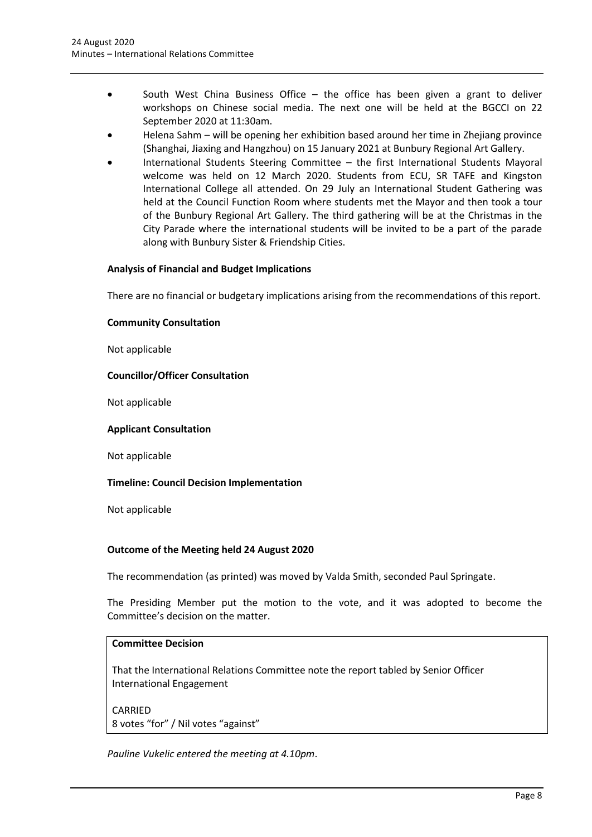- South West China Business Office  $-$  the office has been given a grant to deliver workshops on Chinese social media. The next one will be held at the BGCCI on 22 September 2020 at 11:30am.
- Helena Sahm will be opening her exhibition based around her time in Zhejiang province (Shanghai, Jiaxing and Hangzhou) on 15 January 2021 at Bunbury Regional Art Gallery.
- International Students Steering Committee the first International Students Mayoral welcome was held on 12 March 2020. Students from ECU, SR TAFE and Kingston International College all attended. On 29 July an International Student Gathering was held at the Council Function Room where students met the Mayor and then took a tour of the Bunbury Regional Art Gallery. The third gathering will be at the Christmas in the City Parade where the international students will be invited to be a part of the parade along with Bunbury Sister & Friendship Cities.

## **Analysis of Financial and Budget Implications**

There are no financial or budgetary implications arising from the recommendations of this report.

## **Community Consultation**

Not applicable

## **Councillor/Officer Consultation**

Not applicable

## **Applicant Consultation**

Not applicable

## **Timeline: Council Decision Implementation**

Not applicable

## **Outcome of the Meeting held 24 August 2020**

The recommendation (as printed) was moved by Valda Smith, seconded Paul Springate.

The Presiding Member put the motion to the vote, and it was adopted to become the Committee's decision on the matter.

## **Committee Decision**

That the International Relations Committee note the report tabled by Senior Officer International Engagement

CARRIED 8 votes "for" / Nil votes "against"

*Pauline Vukelic entered the meeting at 4.10pm*.